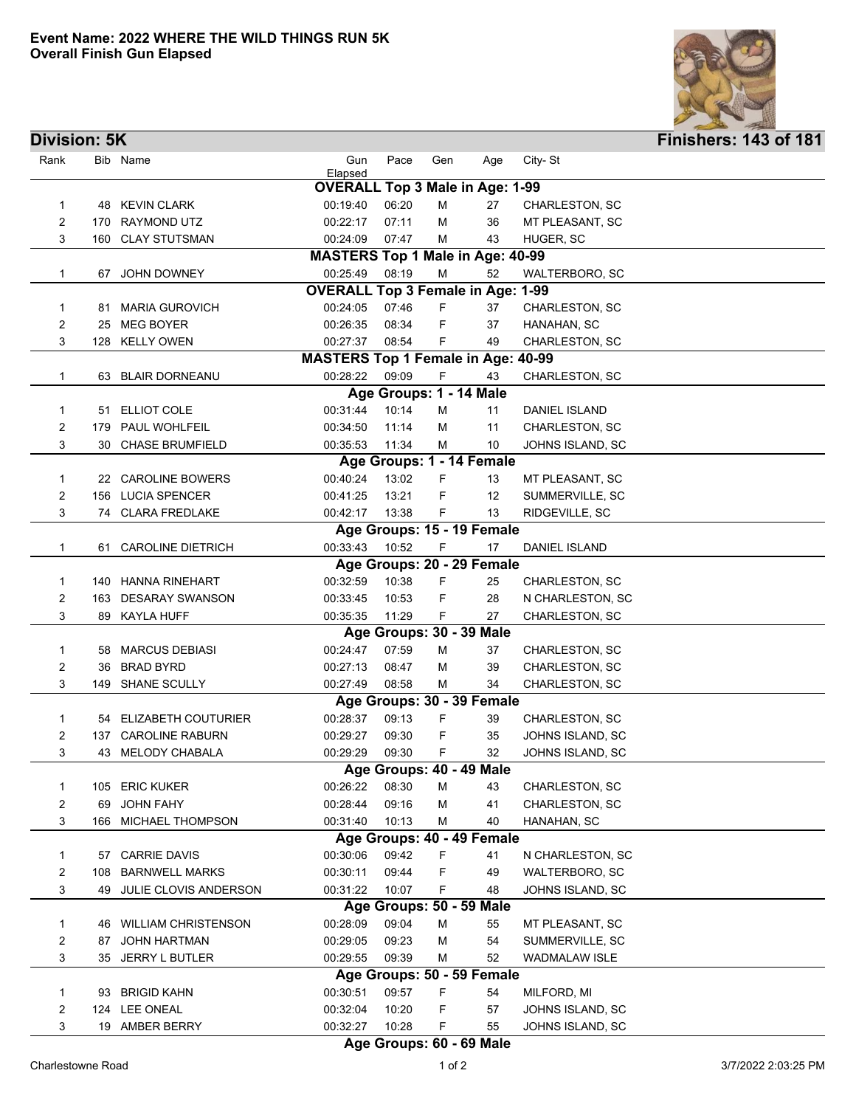

| City-St<br>Rank<br>Bib Name<br>Gun<br>Pace<br>Gen<br>Age<br>Elapsed<br><b>OVERALL Top 3 Male in Age: 1-99</b><br>48 KEVIN CLARK<br>00:19:40<br>06:20<br>M<br>27<br>CHARLESTON, SC<br>1<br>2<br>170 RAYMOND UTZ<br>00:22:17<br>07:11<br>36<br>MT PLEASANT, SC<br>M<br>3<br>160 CLAY STUTSMAN<br>00:24:09<br>07:47<br>43<br>HUGER, SC<br>м<br><b>MASTERS Top 1 Male in Age: 40-99</b><br>08:19<br>00:25:49<br>M<br>52<br>$\mathbf{1}$<br>WALTERBORO, SC<br>67 JOHN DOWNEY<br><b>OVERALL Top 3 Female in Age: 1-99</b><br>00:24:05<br>07:46<br>F.<br>37<br>CHARLESTON, SC<br>1<br>81 MARIA GUROVICH<br>00:26:35<br>2<br>MEG BOYER<br>08:34<br>F<br>37<br>HANAHAN, SC<br>25<br>00:27:37<br>3<br>128 KELLY OWEN<br>08:54<br>F<br>49<br>CHARLESTON, SC<br><b>MASTERS Top 1 Female in Age: 40-99</b><br>09:09<br>F<br>00:28:22<br>43<br>CHARLESTON, SC<br>1<br>63 BLAIR DORNEANU<br>Age Groups: 1 - 14 Male<br>10:14<br>00:31:44<br>51 ELLIOT COLE<br>м<br>11<br>DANIEL ISLAND<br>1<br>11:14<br>2<br><b>PAUL WOHLFEIL</b><br>00:34:50<br>м<br>11<br>CHARLESTON, SC<br>179<br>3<br>30 CHASE BRUMFIELD<br>00:35:53<br>11:34<br>10<br>JOHNS ISLAND, SC<br>м<br>Age Groups: 1 - 14 Female<br>22 CAROLINE BOWERS<br>00:40:24<br>13:02<br>F<br>13<br>1<br>MT PLEASANT, SC<br>2<br>156 LUCIA SPENCER<br>13:21<br>F<br>12<br>00:41:25<br>SUMMERVILLE, SC<br>3<br>74 CLARA FREDLAKE<br>00:42:17<br>13:38<br>F<br>RIDGEVILLE, SC<br>13<br>Age Groups: 15 - 19 Female<br>10:52<br>F<br>61 CAROLINE DIETRICH<br>00:33:43<br>17<br><b>DANIEL ISLAND</b><br>1<br>Age Groups: 20 - 29 Female<br>F<br>140 HANNA RINEHART<br>00:32:59<br>10:38<br>1<br>25<br>CHARLESTON, SC<br>$\overline{c}$<br>10:53<br>F<br>163 DESARAY SWANSON<br>00:33:45<br>28<br>N CHARLESTON, SC<br>3<br>89 KAYLA HUFF<br>00:35:35<br>11:29<br>F<br>27<br>CHARLESTON, SC<br>Age Groups: 30 - 39 Male<br>58 MARCUS DEBIASI<br>00:24:47<br>07:59<br>37<br>1<br>M<br>CHARLESTON, SC<br>2<br><b>BRAD BYRD</b><br>00:27:13<br>08:47<br>39<br>CHARLESTON, SC<br>M<br>36<br>3<br>149 SHANE SCULLY<br>08:58<br>34<br>00:27:49<br>CHARLESTON, SC<br>м<br>Age Groups: 30 - 39 Female<br>54 ELIZABETH COUTURIER<br>00:28:37<br>09:13<br>F<br>39<br>CHARLESTON, SC<br>1<br>2<br>137 CAROLINE RABURN<br>09:30<br>35<br>JOHNS ISLAND, SC<br>00:29:27<br>F<br>3<br>00:29:29<br>09:30<br>F<br>43 MELODY CHABALA<br>32<br>JOHNS ISLAND, SC<br>Age Groups: 40 - 49 Male<br>08:30<br>00:26:22<br>105 ERIC KUKER<br>M<br>43<br>CHARLESTON, SC<br>1<br>$\overline{c}$<br>00:28:44<br>09:16<br>41<br><b>JOHN FAHY</b><br>м<br>CHARLESTON, SC<br>69<br>3<br>166 MICHAEL THOMPSON<br>10:13<br>00:31:40<br>40<br>HANAHAN, SC<br>м<br>Age Groups: 40 - 49 Female<br>09:42<br>57 CARRIE DAVIS<br>00:30:06<br>F<br>41<br>1<br>N CHARLESTON, SC<br><b>BARNWELL MARKS</b><br>00:30:11<br>09:44<br>F<br>2<br>49<br><b>WALTERBORO, SC</b><br>108<br>00:31:22<br>10:07<br>3<br>49 JULIE CLOVIS ANDERSON<br>F<br>48<br>JOHNS ISLAND, SC<br>Age Groups: 50 - 59 Male<br>09:04<br>46 WILLIAM CHRISTENSON<br>00:28:09<br>M<br>55<br>MT PLEASANT, SC<br>1<br>2<br>09:23<br>54<br>87 JOHN HARTMAN<br>00:29:05<br>M<br>SUMMERVILLE, SC<br>52<br>3<br>35 JERRY L BUTLER<br>00:29:55<br>09:39<br>WADMALAW ISLE<br>м<br>Age Groups: 50 - 59 Female<br>09:57<br>F<br><b>BRIGID KAHN</b><br>00:30:51<br>MILFORD, MI<br>1<br>54<br>93<br>$\overline{c}$<br>124 LEE ONEAL<br>00:32:04<br>10:20<br>F<br>JOHNS ISLAND, SC<br>57<br>3<br>19 AMBER BERRY<br>00:32:27<br>10:28<br>F<br>55<br>JOHNS ISLAND, SC | <b>Division: 5K</b> |  |  |  |  |  |  |  | <b>Finishers: 143 of 181</b> |  |  |
|-----------------------------------------------------------------------------------------------------------------------------------------------------------------------------------------------------------------------------------------------------------------------------------------------------------------------------------------------------------------------------------------------------------------------------------------------------------------------------------------------------------------------------------------------------------------------------------------------------------------------------------------------------------------------------------------------------------------------------------------------------------------------------------------------------------------------------------------------------------------------------------------------------------------------------------------------------------------------------------------------------------------------------------------------------------------------------------------------------------------------------------------------------------------------------------------------------------------------------------------------------------------------------------------------------------------------------------------------------------------------------------------------------------------------------------------------------------------------------------------------------------------------------------------------------------------------------------------------------------------------------------------------------------------------------------------------------------------------------------------------------------------------------------------------------------------------------------------------------------------------------------------------------------------------------------------------------------------------------------------------------------------------------------------------------------------------------------------------------------------------------------------------------------------------------------------------------------------------------------------------------------------------------------------------------------------------------------------------------------------------------------------------------------------------------------------------------------------------------------------------------------------------------------------------------------------------------------------------------------------------------------------------------------------------------------------------------------------------------------------------------------------------------------------------------------------------------------------------------------------------------------------------------------------------------------------------------------------------------------------------------------------------------------------------------------------------------------------------------------------------------------------------------------------------------------------------------------------------------------------------------------------------------------------------------------------------------------------------------------------------------------------------------------------------------------------------------------------------------------------------------------|---------------------|--|--|--|--|--|--|--|------------------------------|--|--|
|                                                                                                                                                                                                                                                                                                                                                                                                                                                                                                                                                                                                                                                                                                                                                                                                                                                                                                                                                                                                                                                                                                                                                                                                                                                                                                                                                                                                                                                                                                                                                                                                                                                                                                                                                                                                                                                                                                                                                                                                                                                                                                                                                                                                                                                                                                                                                                                                                                                                                                                                                                                                                                                                                                                                                                                                                                                                                                                                                                                                                                                                                                                                                                                                                                                                                                                                                                                                                                                                                                           |                     |  |  |  |  |  |  |  |                              |  |  |
|                                                                                                                                                                                                                                                                                                                                                                                                                                                                                                                                                                                                                                                                                                                                                                                                                                                                                                                                                                                                                                                                                                                                                                                                                                                                                                                                                                                                                                                                                                                                                                                                                                                                                                                                                                                                                                                                                                                                                                                                                                                                                                                                                                                                                                                                                                                                                                                                                                                                                                                                                                                                                                                                                                                                                                                                                                                                                                                                                                                                                                                                                                                                                                                                                                                                                                                                                                                                                                                                                                           |                     |  |  |  |  |  |  |  |                              |  |  |
|                                                                                                                                                                                                                                                                                                                                                                                                                                                                                                                                                                                                                                                                                                                                                                                                                                                                                                                                                                                                                                                                                                                                                                                                                                                                                                                                                                                                                                                                                                                                                                                                                                                                                                                                                                                                                                                                                                                                                                                                                                                                                                                                                                                                                                                                                                                                                                                                                                                                                                                                                                                                                                                                                                                                                                                                                                                                                                                                                                                                                                                                                                                                                                                                                                                                                                                                                                                                                                                                                                           |                     |  |  |  |  |  |  |  |                              |  |  |
|                                                                                                                                                                                                                                                                                                                                                                                                                                                                                                                                                                                                                                                                                                                                                                                                                                                                                                                                                                                                                                                                                                                                                                                                                                                                                                                                                                                                                                                                                                                                                                                                                                                                                                                                                                                                                                                                                                                                                                                                                                                                                                                                                                                                                                                                                                                                                                                                                                                                                                                                                                                                                                                                                                                                                                                                                                                                                                                                                                                                                                                                                                                                                                                                                                                                                                                                                                                                                                                                                                           |                     |  |  |  |  |  |  |  |                              |  |  |
|                                                                                                                                                                                                                                                                                                                                                                                                                                                                                                                                                                                                                                                                                                                                                                                                                                                                                                                                                                                                                                                                                                                                                                                                                                                                                                                                                                                                                                                                                                                                                                                                                                                                                                                                                                                                                                                                                                                                                                                                                                                                                                                                                                                                                                                                                                                                                                                                                                                                                                                                                                                                                                                                                                                                                                                                                                                                                                                                                                                                                                                                                                                                                                                                                                                                                                                                                                                                                                                                                                           |                     |  |  |  |  |  |  |  |                              |  |  |
|                                                                                                                                                                                                                                                                                                                                                                                                                                                                                                                                                                                                                                                                                                                                                                                                                                                                                                                                                                                                                                                                                                                                                                                                                                                                                                                                                                                                                                                                                                                                                                                                                                                                                                                                                                                                                                                                                                                                                                                                                                                                                                                                                                                                                                                                                                                                                                                                                                                                                                                                                                                                                                                                                                                                                                                                                                                                                                                                                                                                                                                                                                                                                                                                                                                                                                                                                                                                                                                                                                           |                     |  |  |  |  |  |  |  |                              |  |  |
|                                                                                                                                                                                                                                                                                                                                                                                                                                                                                                                                                                                                                                                                                                                                                                                                                                                                                                                                                                                                                                                                                                                                                                                                                                                                                                                                                                                                                                                                                                                                                                                                                                                                                                                                                                                                                                                                                                                                                                                                                                                                                                                                                                                                                                                                                                                                                                                                                                                                                                                                                                                                                                                                                                                                                                                                                                                                                                                                                                                                                                                                                                                                                                                                                                                                                                                                                                                                                                                                                                           |                     |  |  |  |  |  |  |  |                              |  |  |
|                                                                                                                                                                                                                                                                                                                                                                                                                                                                                                                                                                                                                                                                                                                                                                                                                                                                                                                                                                                                                                                                                                                                                                                                                                                                                                                                                                                                                                                                                                                                                                                                                                                                                                                                                                                                                                                                                                                                                                                                                                                                                                                                                                                                                                                                                                                                                                                                                                                                                                                                                                                                                                                                                                                                                                                                                                                                                                                                                                                                                                                                                                                                                                                                                                                                                                                                                                                                                                                                                                           |                     |  |  |  |  |  |  |  |                              |  |  |
|                                                                                                                                                                                                                                                                                                                                                                                                                                                                                                                                                                                                                                                                                                                                                                                                                                                                                                                                                                                                                                                                                                                                                                                                                                                                                                                                                                                                                                                                                                                                                                                                                                                                                                                                                                                                                                                                                                                                                                                                                                                                                                                                                                                                                                                                                                                                                                                                                                                                                                                                                                                                                                                                                                                                                                                                                                                                                                                                                                                                                                                                                                                                                                                                                                                                                                                                                                                                                                                                                                           |                     |  |  |  |  |  |  |  |                              |  |  |
|                                                                                                                                                                                                                                                                                                                                                                                                                                                                                                                                                                                                                                                                                                                                                                                                                                                                                                                                                                                                                                                                                                                                                                                                                                                                                                                                                                                                                                                                                                                                                                                                                                                                                                                                                                                                                                                                                                                                                                                                                                                                                                                                                                                                                                                                                                                                                                                                                                                                                                                                                                                                                                                                                                                                                                                                                                                                                                                                                                                                                                                                                                                                                                                                                                                                                                                                                                                                                                                                                                           |                     |  |  |  |  |  |  |  |                              |  |  |
|                                                                                                                                                                                                                                                                                                                                                                                                                                                                                                                                                                                                                                                                                                                                                                                                                                                                                                                                                                                                                                                                                                                                                                                                                                                                                                                                                                                                                                                                                                                                                                                                                                                                                                                                                                                                                                                                                                                                                                                                                                                                                                                                                                                                                                                                                                                                                                                                                                                                                                                                                                                                                                                                                                                                                                                                                                                                                                                                                                                                                                                                                                                                                                                                                                                                                                                                                                                                                                                                                                           |                     |  |  |  |  |  |  |  |                              |  |  |
|                                                                                                                                                                                                                                                                                                                                                                                                                                                                                                                                                                                                                                                                                                                                                                                                                                                                                                                                                                                                                                                                                                                                                                                                                                                                                                                                                                                                                                                                                                                                                                                                                                                                                                                                                                                                                                                                                                                                                                                                                                                                                                                                                                                                                                                                                                                                                                                                                                                                                                                                                                                                                                                                                                                                                                                                                                                                                                                                                                                                                                                                                                                                                                                                                                                                                                                                                                                                                                                                                                           |                     |  |  |  |  |  |  |  |                              |  |  |
|                                                                                                                                                                                                                                                                                                                                                                                                                                                                                                                                                                                                                                                                                                                                                                                                                                                                                                                                                                                                                                                                                                                                                                                                                                                                                                                                                                                                                                                                                                                                                                                                                                                                                                                                                                                                                                                                                                                                                                                                                                                                                                                                                                                                                                                                                                                                                                                                                                                                                                                                                                                                                                                                                                                                                                                                                                                                                                                                                                                                                                                                                                                                                                                                                                                                                                                                                                                                                                                                                                           |                     |  |  |  |  |  |  |  |                              |  |  |
|                                                                                                                                                                                                                                                                                                                                                                                                                                                                                                                                                                                                                                                                                                                                                                                                                                                                                                                                                                                                                                                                                                                                                                                                                                                                                                                                                                                                                                                                                                                                                                                                                                                                                                                                                                                                                                                                                                                                                                                                                                                                                                                                                                                                                                                                                                                                                                                                                                                                                                                                                                                                                                                                                                                                                                                                                                                                                                                                                                                                                                                                                                                                                                                                                                                                                                                                                                                                                                                                                                           |                     |  |  |  |  |  |  |  |                              |  |  |
|                                                                                                                                                                                                                                                                                                                                                                                                                                                                                                                                                                                                                                                                                                                                                                                                                                                                                                                                                                                                                                                                                                                                                                                                                                                                                                                                                                                                                                                                                                                                                                                                                                                                                                                                                                                                                                                                                                                                                                                                                                                                                                                                                                                                                                                                                                                                                                                                                                                                                                                                                                                                                                                                                                                                                                                                                                                                                                                                                                                                                                                                                                                                                                                                                                                                                                                                                                                                                                                                                                           |                     |  |  |  |  |  |  |  |                              |  |  |
|                                                                                                                                                                                                                                                                                                                                                                                                                                                                                                                                                                                                                                                                                                                                                                                                                                                                                                                                                                                                                                                                                                                                                                                                                                                                                                                                                                                                                                                                                                                                                                                                                                                                                                                                                                                                                                                                                                                                                                                                                                                                                                                                                                                                                                                                                                                                                                                                                                                                                                                                                                                                                                                                                                                                                                                                                                                                                                                                                                                                                                                                                                                                                                                                                                                                                                                                                                                                                                                                                                           |                     |  |  |  |  |  |  |  |                              |  |  |
|                                                                                                                                                                                                                                                                                                                                                                                                                                                                                                                                                                                                                                                                                                                                                                                                                                                                                                                                                                                                                                                                                                                                                                                                                                                                                                                                                                                                                                                                                                                                                                                                                                                                                                                                                                                                                                                                                                                                                                                                                                                                                                                                                                                                                                                                                                                                                                                                                                                                                                                                                                                                                                                                                                                                                                                                                                                                                                                                                                                                                                                                                                                                                                                                                                                                                                                                                                                                                                                                                                           |                     |  |  |  |  |  |  |  |                              |  |  |
|                                                                                                                                                                                                                                                                                                                                                                                                                                                                                                                                                                                                                                                                                                                                                                                                                                                                                                                                                                                                                                                                                                                                                                                                                                                                                                                                                                                                                                                                                                                                                                                                                                                                                                                                                                                                                                                                                                                                                                                                                                                                                                                                                                                                                                                                                                                                                                                                                                                                                                                                                                                                                                                                                                                                                                                                                                                                                                                                                                                                                                                                                                                                                                                                                                                                                                                                                                                                                                                                                                           |                     |  |  |  |  |  |  |  |                              |  |  |
|                                                                                                                                                                                                                                                                                                                                                                                                                                                                                                                                                                                                                                                                                                                                                                                                                                                                                                                                                                                                                                                                                                                                                                                                                                                                                                                                                                                                                                                                                                                                                                                                                                                                                                                                                                                                                                                                                                                                                                                                                                                                                                                                                                                                                                                                                                                                                                                                                                                                                                                                                                                                                                                                                                                                                                                                                                                                                                                                                                                                                                                                                                                                                                                                                                                                                                                                                                                                                                                                                                           |                     |  |  |  |  |  |  |  |                              |  |  |
|                                                                                                                                                                                                                                                                                                                                                                                                                                                                                                                                                                                                                                                                                                                                                                                                                                                                                                                                                                                                                                                                                                                                                                                                                                                                                                                                                                                                                                                                                                                                                                                                                                                                                                                                                                                                                                                                                                                                                                                                                                                                                                                                                                                                                                                                                                                                                                                                                                                                                                                                                                                                                                                                                                                                                                                                                                                                                                                                                                                                                                                                                                                                                                                                                                                                                                                                                                                                                                                                                                           |                     |  |  |  |  |  |  |  |                              |  |  |
|                                                                                                                                                                                                                                                                                                                                                                                                                                                                                                                                                                                                                                                                                                                                                                                                                                                                                                                                                                                                                                                                                                                                                                                                                                                                                                                                                                                                                                                                                                                                                                                                                                                                                                                                                                                                                                                                                                                                                                                                                                                                                                                                                                                                                                                                                                                                                                                                                                                                                                                                                                                                                                                                                                                                                                                                                                                                                                                                                                                                                                                                                                                                                                                                                                                                                                                                                                                                                                                                                                           |                     |  |  |  |  |  |  |  |                              |  |  |
|                                                                                                                                                                                                                                                                                                                                                                                                                                                                                                                                                                                                                                                                                                                                                                                                                                                                                                                                                                                                                                                                                                                                                                                                                                                                                                                                                                                                                                                                                                                                                                                                                                                                                                                                                                                                                                                                                                                                                                                                                                                                                                                                                                                                                                                                                                                                                                                                                                                                                                                                                                                                                                                                                                                                                                                                                                                                                                                                                                                                                                                                                                                                                                                                                                                                                                                                                                                                                                                                                                           |                     |  |  |  |  |  |  |  |                              |  |  |
|                                                                                                                                                                                                                                                                                                                                                                                                                                                                                                                                                                                                                                                                                                                                                                                                                                                                                                                                                                                                                                                                                                                                                                                                                                                                                                                                                                                                                                                                                                                                                                                                                                                                                                                                                                                                                                                                                                                                                                                                                                                                                                                                                                                                                                                                                                                                                                                                                                                                                                                                                                                                                                                                                                                                                                                                                                                                                                                                                                                                                                                                                                                                                                                                                                                                                                                                                                                                                                                                                                           |                     |  |  |  |  |  |  |  |                              |  |  |
|                                                                                                                                                                                                                                                                                                                                                                                                                                                                                                                                                                                                                                                                                                                                                                                                                                                                                                                                                                                                                                                                                                                                                                                                                                                                                                                                                                                                                                                                                                                                                                                                                                                                                                                                                                                                                                                                                                                                                                                                                                                                                                                                                                                                                                                                                                                                                                                                                                                                                                                                                                                                                                                                                                                                                                                                                                                                                                                                                                                                                                                                                                                                                                                                                                                                                                                                                                                                                                                                                                           |                     |  |  |  |  |  |  |  |                              |  |  |
|                                                                                                                                                                                                                                                                                                                                                                                                                                                                                                                                                                                                                                                                                                                                                                                                                                                                                                                                                                                                                                                                                                                                                                                                                                                                                                                                                                                                                                                                                                                                                                                                                                                                                                                                                                                                                                                                                                                                                                                                                                                                                                                                                                                                                                                                                                                                                                                                                                                                                                                                                                                                                                                                                                                                                                                                                                                                                                                                                                                                                                                                                                                                                                                                                                                                                                                                                                                                                                                                                                           |                     |  |  |  |  |  |  |  |                              |  |  |
|                                                                                                                                                                                                                                                                                                                                                                                                                                                                                                                                                                                                                                                                                                                                                                                                                                                                                                                                                                                                                                                                                                                                                                                                                                                                                                                                                                                                                                                                                                                                                                                                                                                                                                                                                                                                                                                                                                                                                                                                                                                                                                                                                                                                                                                                                                                                                                                                                                                                                                                                                                                                                                                                                                                                                                                                                                                                                                                                                                                                                                                                                                                                                                                                                                                                                                                                                                                                                                                                                                           |                     |  |  |  |  |  |  |  |                              |  |  |
|                                                                                                                                                                                                                                                                                                                                                                                                                                                                                                                                                                                                                                                                                                                                                                                                                                                                                                                                                                                                                                                                                                                                                                                                                                                                                                                                                                                                                                                                                                                                                                                                                                                                                                                                                                                                                                                                                                                                                                                                                                                                                                                                                                                                                                                                                                                                                                                                                                                                                                                                                                                                                                                                                                                                                                                                                                                                                                                                                                                                                                                                                                                                                                                                                                                                                                                                                                                                                                                                                                           |                     |  |  |  |  |  |  |  |                              |  |  |
|                                                                                                                                                                                                                                                                                                                                                                                                                                                                                                                                                                                                                                                                                                                                                                                                                                                                                                                                                                                                                                                                                                                                                                                                                                                                                                                                                                                                                                                                                                                                                                                                                                                                                                                                                                                                                                                                                                                                                                                                                                                                                                                                                                                                                                                                                                                                                                                                                                                                                                                                                                                                                                                                                                                                                                                                                                                                                                                                                                                                                                                                                                                                                                                                                                                                                                                                                                                                                                                                                                           |                     |  |  |  |  |  |  |  |                              |  |  |
|                                                                                                                                                                                                                                                                                                                                                                                                                                                                                                                                                                                                                                                                                                                                                                                                                                                                                                                                                                                                                                                                                                                                                                                                                                                                                                                                                                                                                                                                                                                                                                                                                                                                                                                                                                                                                                                                                                                                                                                                                                                                                                                                                                                                                                                                                                                                                                                                                                                                                                                                                                                                                                                                                                                                                                                                                                                                                                                                                                                                                                                                                                                                                                                                                                                                                                                                                                                                                                                                                                           |                     |  |  |  |  |  |  |  |                              |  |  |
|                                                                                                                                                                                                                                                                                                                                                                                                                                                                                                                                                                                                                                                                                                                                                                                                                                                                                                                                                                                                                                                                                                                                                                                                                                                                                                                                                                                                                                                                                                                                                                                                                                                                                                                                                                                                                                                                                                                                                                                                                                                                                                                                                                                                                                                                                                                                                                                                                                                                                                                                                                                                                                                                                                                                                                                                                                                                                                                                                                                                                                                                                                                                                                                                                                                                                                                                                                                                                                                                                                           |                     |  |  |  |  |  |  |  |                              |  |  |
|                                                                                                                                                                                                                                                                                                                                                                                                                                                                                                                                                                                                                                                                                                                                                                                                                                                                                                                                                                                                                                                                                                                                                                                                                                                                                                                                                                                                                                                                                                                                                                                                                                                                                                                                                                                                                                                                                                                                                                                                                                                                                                                                                                                                                                                                                                                                                                                                                                                                                                                                                                                                                                                                                                                                                                                                                                                                                                                                                                                                                                                                                                                                                                                                                                                                                                                                                                                                                                                                                                           |                     |  |  |  |  |  |  |  |                              |  |  |
|                                                                                                                                                                                                                                                                                                                                                                                                                                                                                                                                                                                                                                                                                                                                                                                                                                                                                                                                                                                                                                                                                                                                                                                                                                                                                                                                                                                                                                                                                                                                                                                                                                                                                                                                                                                                                                                                                                                                                                                                                                                                                                                                                                                                                                                                                                                                                                                                                                                                                                                                                                                                                                                                                                                                                                                                                                                                                                                                                                                                                                                                                                                                                                                                                                                                                                                                                                                                                                                                                                           |                     |  |  |  |  |  |  |  |                              |  |  |
|                                                                                                                                                                                                                                                                                                                                                                                                                                                                                                                                                                                                                                                                                                                                                                                                                                                                                                                                                                                                                                                                                                                                                                                                                                                                                                                                                                                                                                                                                                                                                                                                                                                                                                                                                                                                                                                                                                                                                                                                                                                                                                                                                                                                                                                                                                                                                                                                                                                                                                                                                                                                                                                                                                                                                                                                                                                                                                                                                                                                                                                                                                                                                                                                                                                                                                                                                                                                                                                                                                           |                     |  |  |  |  |  |  |  |                              |  |  |
|                                                                                                                                                                                                                                                                                                                                                                                                                                                                                                                                                                                                                                                                                                                                                                                                                                                                                                                                                                                                                                                                                                                                                                                                                                                                                                                                                                                                                                                                                                                                                                                                                                                                                                                                                                                                                                                                                                                                                                                                                                                                                                                                                                                                                                                                                                                                                                                                                                                                                                                                                                                                                                                                                                                                                                                                                                                                                                                                                                                                                                                                                                                                                                                                                                                                                                                                                                                                                                                                                                           |                     |  |  |  |  |  |  |  |                              |  |  |
|                                                                                                                                                                                                                                                                                                                                                                                                                                                                                                                                                                                                                                                                                                                                                                                                                                                                                                                                                                                                                                                                                                                                                                                                                                                                                                                                                                                                                                                                                                                                                                                                                                                                                                                                                                                                                                                                                                                                                                                                                                                                                                                                                                                                                                                                                                                                                                                                                                                                                                                                                                                                                                                                                                                                                                                                                                                                                                                                                                                                                                                                                                                                                                                                                                                                                                                                                                                                                                                                                                           |                     |  |  |  |  |  |  |  |                              |  |  |
|                                                                                                                                                                                                                                                                                                                                                                                                                                                                                                                                                                                                                                                                                                                                                                                                                                                                                                                                                                                                                                                                                                                                                                                                                                                                                                                                                                                                                                                                                                                                                                                                                                                                                                                                                                                                                                                                                                                                                                                                                                                                                                                                                                                                                                                                                                                                                                                                                                                                                                                                                                                                                                                                                                                                                                                                                                                                                                                                                                                                                                                                                                                                                                                                                                                                                                                                                                                                                                                                                                           |                     |  |  |  |  |  |  |  |                              |  |  |
|                                                                                                                                                                                                                                                                                                                                                                                                                                                                                                                                                                                                                                                                                                                                                                                                                                                                                                                                                                                                                                                                                                                                                                                                                                                                                                                                                                                                                                                                                                                                                                                                                                                                                                                                                                                                                                                                                                                                                                                                                                                                                                                                                                                                                                                                                                                                                                                                                                                                                                                                                                                                                                                                                                                                                                                                                                                                                                                                                                                                                                                                                                                                                                                                                                                                                                                                                                                                                                                                                                           |                     |  |  |  |  |  |  |  |                              |  |  |
|                                                                                                                                                                                                                                                                                                                                                                                                                                                                                                                                                                                                                                                                                                                                                                                                                                                                                                                                                                                                                                                                                                                                                                                                                                                                                                                                                                                                                                                                                                                                                                                                                                                                                                                                                                                                                                                                                                                                                                                                                                                                                                                                                                                                                                                                                                                                                                                                                                                                                                                                                                                                                                                                                                                                                                                                                                                                                                                                                                                                                                                                                                                                                                                                                                                                                                                                                                                                                                                                                                           |                     |  |  |  |  |  |  |  |                              |  |  |
|                                                                                                                                                                                                                                                                                                                                                                                                                                                                                                                                                                                                                                                                                                                                                                                                                                                                                                                                                                                                                                                                                                                                                                                                                                                                                                                                                                                                                                                                                                                                                                                                                                                                                                                                                                                                                                                                                                                                                                                                                                                                                                                                                                                                                                                                                                                                                                                                                                                                                                                                                                                                                                                                                                                                                                                                                                                                                                                                                                                                                                                                                                                                                                                                                                                                                                                                                                                                                                                                                                           |                     |  |  |  |  |  |  |  |                              |  |  |
|                                                                                                                                                                                                                                                                                                                                                                                                                                                                                                                                                                                                                                                                                                                                                                                                                                                                                                                                                                                                                                                                                                                                                                                                                                                                                                                                                                                                                                                                                                                                                                                                                                                                                                                                                                                                                                                                                                                                                                                                                                                                                                                                                                                                                                                                                                                                                                                                                                                                                                                                                                                                                                                                                                                                                                                                                                                                                                                                                                                                                                                                                                                                                                                                                                                                                                                                                                                                                                                                                                           |                     |  |  |  |  |  |  |  |                              |  |  |
|                                                                                                                                                                                                                                                                                                                                                                                                                                                                                                                                                                                                                                                                                                                                                                                                                                                                                                                                                                                                                                                                                                                                                                                                                                                                                                                                                                                                                                                                                                                                                                                                                                                                                                                                                                                                                                                                                                                                                                                                                                                                                                                                                                                                                                                                                                                                                                                                                                                                                                                                                                                                                                                                                                                                                                                                                                                                                                                                                                                                                                                                                                                                                                                                                                                                                                                                                                                                                                                                                                           |                     |  |  |  |  |  |  |  |                              |  |  |
|                                                                                                                                                                                                                                                                                                                                                                                                                                                                                                                                                                                                                                                                                                                                                                                                                                                                                                                                                                                                                                                                                                                                                                                                                                                                                                                                                                                                                                                                                                                                                                                                                                                                                                                                                                                                                                                                                                                                                                                                                                                                                                                                                                                                                                                                                                                                                                                                                                                                                                                                                                                                                                                                                                                                                                                                                                                                                                                                                                                                                                                                                                                                                                                                                                                                                                                                                                                                                                                                                                           |                     |  |  |  |  |  |  |  |                              |  |  |
|                                                                                                                                                                                                                                                                                                                                                                                                                                                                                                                                                                                                                                                                                                                                                                                                                                                                                                                                                                                                                                                                                                                                                                                                                                                                                                                                                                                                                                                                                                                                                                                                                                                                                                                                                                                                                                                                                                                                                                                                                                                                                                                                                                                                                                                                                                                                                                                                                                                                                                                                                                                                                                                                                                                                                                                                                                                                                                                                                                                                                                                                                                                                                                                                                                                                                                                                                                                                                                                                                                           |                     |  |  |  |  |  |  |  |                              |  |  |
|                                                                                                                                                                                                                                                                                                                                                                                                                                                                                                                                                                                                                                                                                                                                                                                                                                                                                                                                                                                                                                                                                                                                                                                                                                                                                                                                                                                                                                                                                                                                                                                                                                                                                                                                                                                                                                                                                                                                                                                                                                                                                                                                                                                                                                                                                                                                                                                                                                                                                                                                                                                                                                                                                                                                                                                                                                                                                                                                                                                                                                                                                                                                                                                                                                                                                                                                                                                                                                                                                                           |                     |  |  |  |  |  |  |  |                              |  |  |
|                                                                                                                                                                                                                                                                                                                                                                                                                                                                                                                                                                                                                                                                                                                                                                                                                                                                                                                                                                                                                                                                                                                                                                                                                                                                                                                                                                                                                                                                                                                                                                                                                                                                                                                                                                                                                                                                                                                                                                                                                                                                                                                                                                                                                                                                                                                                                                                                                                                                                                                                                                                                                                                                                                                                                                                                                                                                                                                                                                                                                                                                                                                                                                                                                                                                                                                                                                                                                                                                                                           |                     |  |  |  |  |  |  |  |                              |  |  |
|                                                                                                                                                                                                                                                                                                                                                                                                                                                                                                                                                                                                                                                                                                                                                                                                                                                                                                                                                                                                                                                                                                                                                                                                                                                                                                                                                                                                                                                                                                                                                                                                                                                                                                                                                                                                                                                                                                                                                                                                                                                                                                                                                                                                                                                                                                                                                                                                                                                                                                                                                                                                                                                                                                                                                                                                                                                                                                                                                                                                                                                                                                                                                                                                                                                                                                                                                                                                                                                                                                           |                     |  |  |  |  |  |  |  |                              |  |  |
|                                                                                                                                                                                                                                                                                                                                                                                                                                                                                                                                                                                                                                                                                                                                                                                                                                                                                                                                                                                                                                                                                                                                                                                                                                                                                                                                                                                                                                                                                                                                                                                                                                                                                                                                                                                                                                                                                                                                                                                                                                                                                                                                                                                                                                                                                                                                                                                                                                                                                                                                                                                                                                                                                                                                                                                                                                                                                                                                                                                                                                                                                                                                                                                                                                                                                                                                                                                                                                                                                                           |                     |  |  |  |  |  |  |  |                              |  |  |
|                                                                                                                                                                                                                                                                                                                                                                                                                                                                                                                                                                                                                                                                                                                                                                                                                                                                                                                                                                                                                                                                                                                                                                                                                                                                                                                                                                                                                                                                                                                                                                                                                                                                                                                                                                                                                                                                                                                                                                                                                                                                                                                                                                                                                                                                                                                                                                                                                                                                                                                                                                                                                                                                                                                                                                                                                                                                                                                                                                                                                                                                                                                                                                                                                                                                                                                                                                                                                                                                                                           |                     |  |  |  |  |  |  |  |                              |  |  |
|                                                                                                                                                                                                                                                                                                                                                                                                                                                                                                                                                                                                                                                                                                                                                                                                                                                                                                                                                                                                                                                                                                                                                                                                                                                                                                                                                                                                                                                                                                                                                                                                                                                                                                                                                                                                                                                                                                                                                                                                                                                                                                                                                                                                                                                                                                                                                                                                                                                                                                                                                                                                                                                                                                                                                                                                                                                                                                                                                                                                                                                                                                                                                                                                                                                                                                                                                                                                                                                                                                           |                     |  |  |  |  |  |  |  |                              |  |  |
|                                                                                                                                                                                                                                                                                                                                                                                                                                                                                                                                                                                                                                                                                                                                                                                                                                                                                                                                                                                                                                                                                                                                                                                                                                                                                                                                                                                                                                                                                                                                                                                                                                                                                                                                                                                                                                                                                                                                                                                                                                                                                                                                                                                                                                                                                                                                                                                                                                                                                                                                                                                                                                                                                                                                                                                                                                                                                                                                                                                                                                                                                                                                                                                                                                                                                                                                                                                                                                                                                                           |                     |  |  |  |  |  |  |  |                              |  |  |

## **Age Groups: 60 - 69 Male**